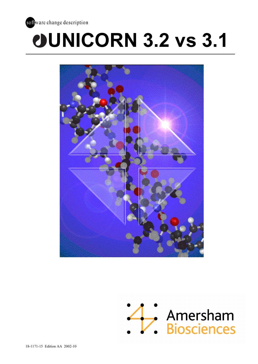

# **UNICORN 3.2 vs 3.1**



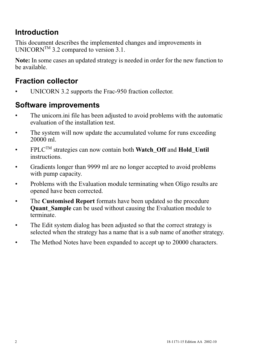# **Introduction**

This document describes the implemented changes and improvements in UNICORN<sup>TM</sup> 3.2 compared to version 3.1.

**Note:** In some cases an updated strategy is needed in order for the new function to be available.

# **Fraction collector**

UNICORN 3.2 supports the Frac-950 fraction collector.

# **Software improvements**

- The unicorn.ini file has been adjusted to avoid problems with the automatic evaluation of the installation test.
- The system will now update the accumulated volume for runs exceeding 20000 ml.
- $\cdot$  FPLC<sup>TM</sup> strategies can now contain both **Watch Off** and **Hold** Until instructions.
- Gradients longer than 9999 ml are no longer accepted to avoid problems with pump capacity.
- Problems with the Evaluation module terminating when Oligo results are opened have been corrected.
- The **Customised Report** formats have been updated so the procedure **Quant Sample** can be used without causing the Evaluation module to terminate.
- The Edit system dialog has been adjusted so that the correct strategy is selected when the strategy has a name that is a sub name of another strategy.
- The Method Notes have been expanded to accept up to 20000 characters.